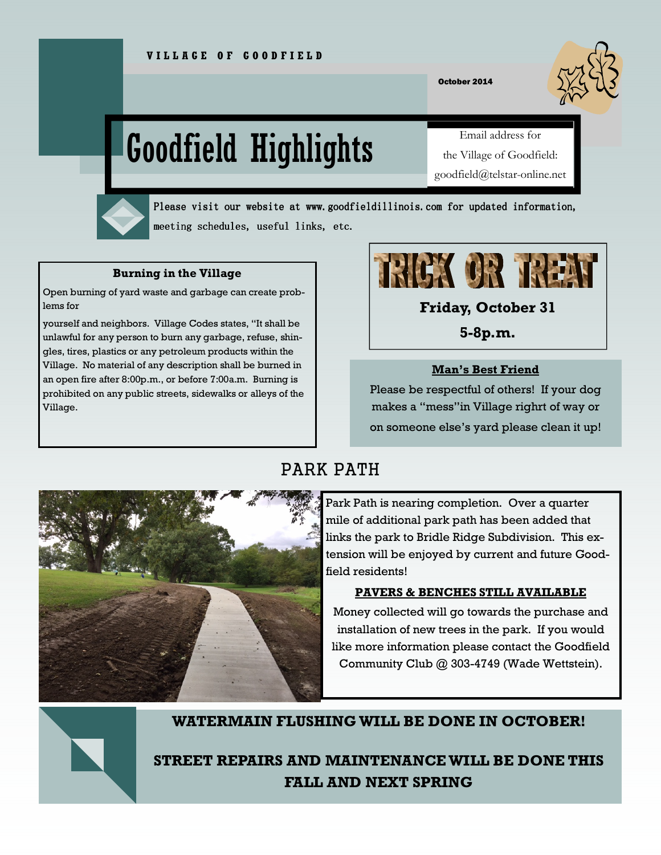October 2014

# Goodfield Highlights

Email address for the Village of Goodfield: goodfield@telstar-online.net



Please visit our website at www.goodfieldillinois.com for updated information, meeting schedules, useful links, etc.

### **Burning in the Village**

Open burning of yard waste and garbage can create problems for

yourself and neighbors. Village Codes states, "It shall be unlawful for any person to burn any garbage, refuse, shingles, tires, plastics or any petroleum products within the Village. No material of any description shall be burned in an open fire after 8:00p.m., or before 7:00a.m. Burning is prohibited on any public streets, sidewalks or alleys of the Village.



**Friday, October 31** 

**5-8p.m.** 

# **Man's Best Friend**

Please be respectful of others! If your dog makes a "mess"in Village righrt of way or on someone else's yard please clean it up!

# PARK PATH



Park Path is nearing completion. Over a quarter mile of additional park path has been added that links the park to Bridle Ridge Subdivision. This extension will be enjoyed by current and future Goodfield residents!

## **PAVERS & BENCHES STILL AVAILABLE**

Money collected will go towards the purchase and installation of new trees in the park. If you would like more information please contact the Goodfield Community Club @ 303-4749 (Wade Wettstein).



# **WATERMAIN FLUSHING WILL BE DONE IN OCTOBER!**

**STREET REPAIRS AND MAINTENANCE WILL BE DONE THIS FALL AND NEXT SPRING**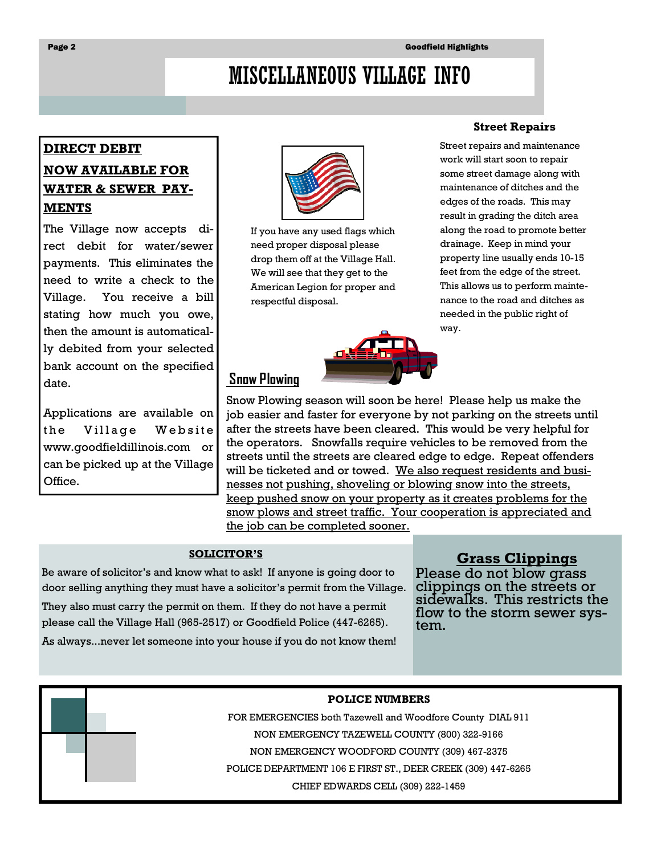# MISCELLANEOUS VILLAGE INFO

# **DIRECT DEBIT**

# **NOW AVAILABLE FOR WATER & SEWER PAY-MENTS**

The Village now accepts direct debit for water/sewer payments. This eliminates the need to write a check to the Village. You receive a bill stating how much you owe, then the amount is automatically debited from your selected bank account on the specified date.

Applications are available on the Village Website www.goodfieldillinois.com or can be picked up at the Village Office.



If you have any used flags which need proper disposal please drop them off at the Village Hall. We will see that they get to the American Legion for proper and respectful disposal.

# **Street Repairs**

Street repairs and maintenance work will start soon to repair some street damage along with maintenance of ditches and the edges of the roads. This may result in grading the ditch area along the road to promote better drainage. Keep in mind your property line usually ends 10-15 feet from the edge of the street. This allows us to perform maintenance to the road and ditches as needed in the public right of way.

Snow Plowing season will soon be here! Please help us make the job easier and faster for everyone by not parking on the streets until after the streets have been cleared. This would be very helpful for the operators. Snowfalls require vehicles to be removed from the streets until the streets are cleared edge to edge. Repeat offenders will be ticketed and or towed. We also request residents and businesses not pushing, shoveling or blowing snow into the streets, keep pushed snow on your property as it creates problems for the snow plows and street traffic. Your cooperation is appreciated and the job can be completed sooner.

### **SOLICITOR'S**

 **Snow Plowing** 

Be aware of solicitor's and know what to ask! If anyone is going door to door selling anything they must have a solicitor's permit from the Village. They also must carry the permit on them. If they do not have a permit please call the Village Hall (965-2517) or Goodfield Police (447-6265).

As always...never let someone into your house if you do not know them!

**Grass Clippings** 

Please do not blow grass clippings on the streets or sidewalks. This restricts the flow to the storm sewer system.

#### **POLICE NUMBERS**

FOR EMERGENCIES both Tazewell and Woodfore County DIAL 911 NON EMERGENCY TAZEWELL COUNTY (800) 322-9166 NON EMERGENCY WOODFORD COUNTY (309) 467-2375 POLICE DEPARTMENT 106 E FIRST ST., DEER CREEK (309) 447-6265

CHIEF EDWARDS CELL (309) 222-1459